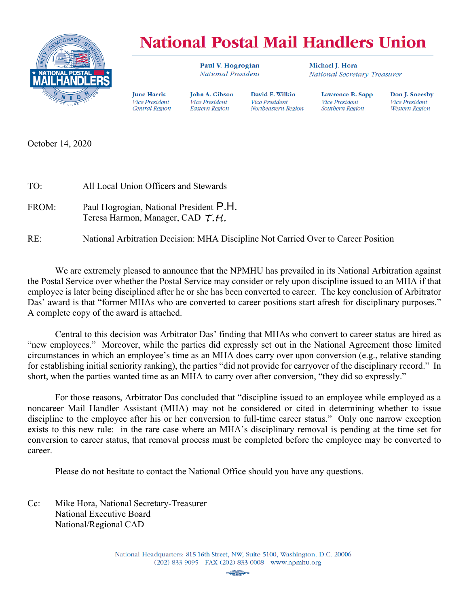

**Iune Harris** 

**Vice President** 

Central Region

# **National Postal Mail Handlers Union**

David E. Wilkin

Northeastern Region

Vice President

Paul V. Hogrogian **National President** 

**John A. Gibson** 

Vice President

**Eastern Region** 

Michael I. Hora National Secretary-Treasurer

> Lawrence B. Sapp **Vice President** Southern Region

Don J. Sneesby **Vice President Western Region** 

October 14, 2020

| TO:   | All Local Union Officers and Stewards                                             |
|-------|-----------------------------------------------------------------------------------|
| FROM: | Paul Hogrogian, National President P.H.<br>Teresa Harmon, Manager, CAD T.H.       |
| RE:   | National Arbitration Decision: MHA Discipline Not Carried Over to Career Position |

 We are extremely pleased to announce that the NPMHU has prevailed in its National Arbitration against the Postal Service over whether the Postal Service may consider or rely upon discipline issued to an MHA if that employee is later being disciplined after he or she has been converted to career. The key conclusion of Arbitrator Das' award is that "former MHAs who are converted to career positions start afresh for disciplinary purposes." A complete copy of the award is attached.

 Central to this decision was Arbitrator Das' finding that MHAs who convert to career status are hired as "new employees." Moreover, while the parties did expressly set out in the National Agreement those limited circumstances in which an employee's time as an MHA does carry over upon conversion (e.g., relative standing for establishing initial seniority ranking), the parties "did not provide for carryover of the disciplinary record." In short, when the parties wanted time as an MHA to carry over after conversion, "they did so expressly."

 For those reasons, Arbitrator Das concluded that "discipline issued to an employee while employed as a noncareer Mail Handler Assistant (MHA) may not be considered or cited in determining whether to issue discipline to the employee after his or her conversion to full-time career status." Only one narrow exception exists to this new rule: in the rare case where an MHA's disciplinary removal is pending at the time set for conversion to career status, that removal process must be completed before the employee may be converted to career.

Please do not hesitate to contact the National Office should you have any questions.

Cc: Mike Hora, National Secretary-Treasurer National Executive Board  $National/Regional$  CAD

> National Headquarters: 815 16th Street, NW, Suite 5100, Washington, D.C. 20006 (202) 833-9095 FAX (202) 833-0008 www.npmhu.org

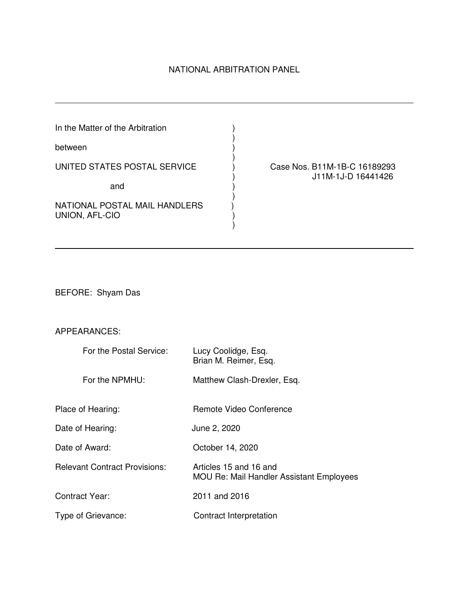# NATIONAL ARBITRATION PANEL

| In the Matter of the Arbitration                |  |
|-------------------------------------------------|--|
| between                                         |  |
| UNITED STATES POSTAL SERVICE                    |  |
| and                                             |  |
| NATIONAL POSTAL MAIL HANDLERS<br>UNION, AFL-CIO |  |

ase Nos. B11M-1B-C 16189293<sup>.</sup> ) J11M-1J-D 16441426

BEFORE: Shyam Das

# APPEARANCES:

 $\overline{a}$ 

| For the Postal Service:              | Lucy Coolidge, Esq.<br>Brian M. Reimer, Esq.                              |
|--------------------------------------|---------------------------------------------------------------------------|
| For the NPMHU:                       | Matthew Clash-Drexler, Esq.                                               |
| Place of Hearing:                    | Remote Video Conference                                                   |
| Date of Hearing:                     | June 2, 2020                                                              |
| Date of Award:                       | October 14, 2020                                                          |
| <b>Relevant Contract Provisions:</b> | Articles 15 and 16 and<br><b>MOU Re: Mail Handler Assistant Employees</b> |
| <b>Contract Year:</b>                | 2011 and 2016                                                             |
| Type of Grievance:                   | Contract Interpretation                                                   |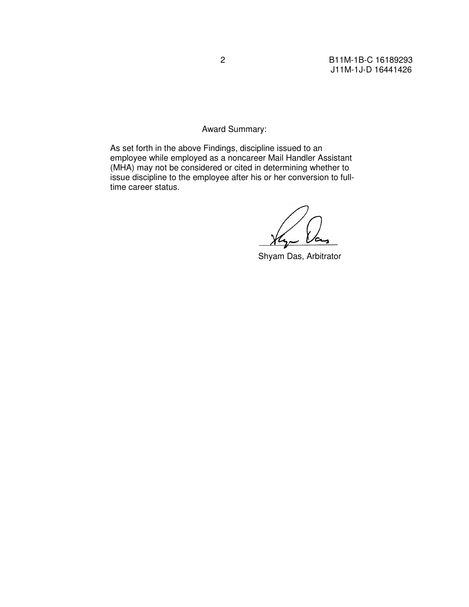# Award Summary:

As set forth in the above Findings, discipline issued to an employee while employed as a noncareer Mail Handler Assistant (MHA) may not be considered or cited in determining whether to issue discipline to the employee after his or her conversion to fulltime career status.

Shyam Das, Arbitrator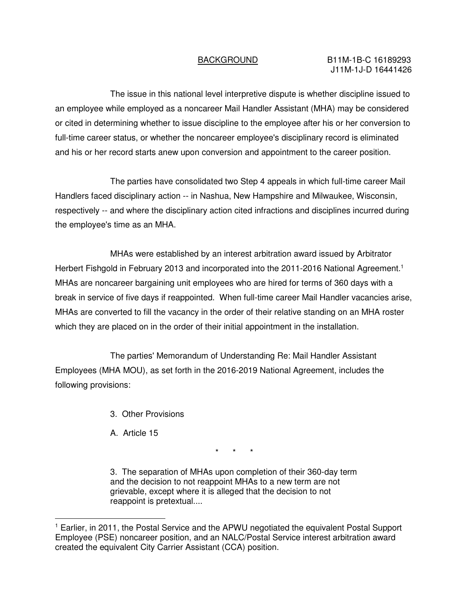The issue in this national level interpretive dispute is whether discipline issued to an employee while employed as a noncareer Mail Handler Assistant (MHA) may be considered or cited in determining whether to issue discipline to the employee after his or her conversion to full-time career status, or whether the noncareer employee's disciplinary record is eliminated and his or her record starts anew upon conversion and appointment to the career position.

The parties have consolidated two Step 4 appeals in which full-time career Mail Handlers faced disciplinary action -- in Nashua, New Hampshire and Milwaukee, Wisconsin, respectively -- and where the disciplinary action cited infractions and disciplines incurred during the employee's time as an MHA.

MHAs were established by an interest arbitration award issued by Arbitrator Herbert Fishgold in February 2013 and incorporated into the 2011-2016 National Agreement.<sup>1</sup> MHAs are noncareer bargaining unit employees who are hired for terms of 360 days with a break in service of five days if reappointed. When full-time career Mail Handler vacancies arise, MHAs are converted to fill the vacancy in the order of their relative standing on an MHA roster which they are placed on in the order of their initial appointment in the installation.

The parties' Memorandum of Understanding Re: Mail Handler Assistant Employees (MHA MOU), as set forth in the 2016-2019 National Agreement, includes the following provisions:

- 3. Other Provisions
- A. Article 15

 $\overline{a}$ 

\* \* \*

3. The separation of MHAs upon completion of their 360-day term and the decision to not reappoint MHAs to a new term are not grievable, except where it is alleged that the decision to not reappoint is pretextual....

<sup>&</sup>lt;sup>1</sup> Earlier, in 2011, the Postal Service and the APWU negotiated the equivalent Postal Support Employee (PSE) noncareer position, and an NALC/Postal Service interest arbitration award created the equivalent City Carrier Assistant (CCA) position.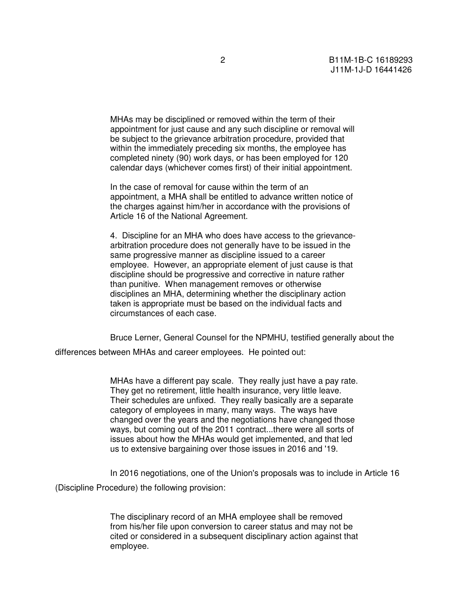MHAs may be disciplined or removed within the term of their appointment for just cause and any such discipline or removal will be subject to the grievance arbitration procedure, provided that within the immediately preceding six months, the employee has completed ninety (90) work days, or has been employed for 120 calendar days (whichever comes first) of their initial appointment.

In the case of removal for cause within the term of an appointment, a MHA shall be entitled to advance written notice of the charges against him/her in accordance with the provisions of Article 16 of the National Agreement.

4. Discipline for an MHA who does have access to the grievancearbitration procedure does not generally have to be issued in the same progressive manner as discipline issued to a career employee. However, an appropriate element of just cause is that discipline should be progressive and corrective in nature rather than punitive. When management removes or otherwise disciplines an MHA, determining whether the disciplinary action taken is appropriate must be based on the individual facts and circumstances of each case.

Bruce Lerner, General Counsel for the NPMHU, testified generally about the

differences between MHAs and career employees. He pointed out:

MHAs have a different pay scale. They really just have a pay rate. They get no retirement, little health insurance, very little leave. Their schedules are unfixed. They really basically are a separate category of employees in many, many ways. The ways have changed over the years and the negotiations have changed those ways, but coming out of the 2011 contract...there were all sorts of issues about how the MHAs would get implemented, and that led us to extensive bargaining over those issues in 2016 and '19.

In 2016 negotiations, one of the Union's proposals was to include in Article 16 (Discipline Procedure) the following provision:

> The disciplinary record of an MHA employee shall be removed from his/her file upon conversion to career status and may not be cited or considered in a subsequent disciplinary action against that employee.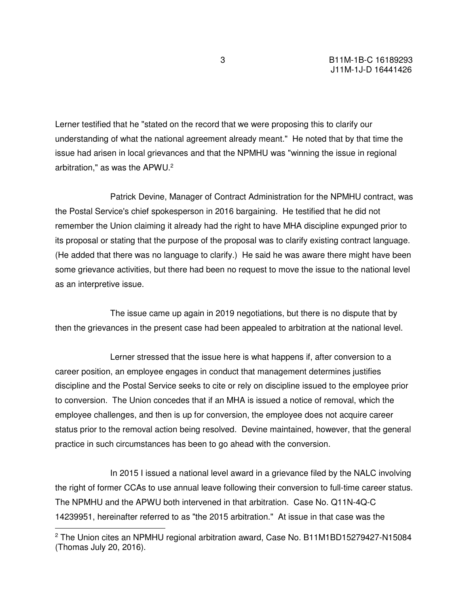Lerner testified that he "stated on the record that we were proposing this to clarify our understanding of what the national agreement already meant." He noted that by that time the issue had arisen in local grievances and that the NPMHU was "winning the issue in regional arbitration," as was the APWU.<sup>2</sup>

 Patrick Devine, Manager of Contract Administration for the NPMHU contract, was the Postal Service's chief spokesperson in 2016 bargaining. He testified that he did not remember the Union claiming it already had the right to have MHA discipline expunged prior to its proposal or stating that the purpose of the proposal was to clarify existing contract language. (He added that there was no language to clarify.) He said he was aware there might have been some grievance activities, but there had been no request to move the issue to the national level as an interpretive issue.

 The issue came up again in 2019 negotiations, but there is no dispute that by then the grievances in the present case had been appealed to arbitration at the national level.

 Lerner stressed that the issue here is what happens if, after conversion to a career position, an employee engages in conduct that management determines justifies discipline and the Postal Service seeks to cite or rely on discipline issued to the employee prior to conversion. The Union concedes that if an MHA is issued a notice of removal, which the employee challenges, and then is up for conversion, the employee does not acquire career status prior to the removal action being resolved. Devine maintained, however, that the general practice in such circumstances has been to go ahead with the conversion.

 In 2015 I issued a national level award in a grievance filed by the NALC involving the right of former CCAs to use annual leave following their conversion to full-time career status. The NPMHU and the APWU both intervened in that arbitration. Case No. Q11N-4Q-C 14239951, hereinafter referred to as "the 2015 arbitration." At issue in that case was the  $\overline{a}$ 

<sup>&</sup>lt;sup>2</sup> The Union cites an NPMHU regional arbitration award, Case No. B11M1BD15279427-N15084 (Thomas July 20, 2016).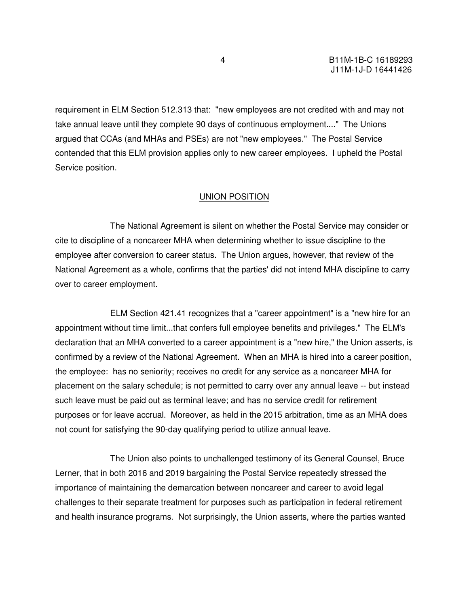requirement in ELM Section 512.313 that: "new employees are not credited with and may not take annual leave until they complete 90 days of continuous employment...." The Unions argued that CCAs (and MHAs and PSEs) are not "new employees." The Postal Service contended that this ELM provision applies only to new career employees. I upheld the Postal Service position.

### UNION POSITION

 The National Agreement is silent on whether the Postal Service may consider or cite to discipline of a noncareer MHA when determining whether to issue discipline to the employee after conversion to career status. The Union argues, however, that review of the National Agreement as a whole, confirms that the parties' did not intend MHA discipline to carry over to career employment.

 ELM Section 421.41 recognizes that a "career appointment" is a "new hire for an appointment without time limit...that confers full employee benefits and privileges." The ELM's declaration that an MHA converted to a career appointment is a "new hire," the Union asserts, is confirmed by a review of the National Agreement. When an MHA is hired into a career position, the employee: has no seniority; receives no credit for any service as a noncareer MHA for placement on the salary schedule; is not permitted to carry over any annual leave -- but instead such leave must be paid out as terminal leave; and has no service credit for retirement purposes or for leave accrual. Moreover, as held in the 2015 arbitration, time as an MHA does not count for satisfying the 90-day qualifying period to utilize annual leave.

 The Union also points to unchallenged testimony of its General Counsel, Bruce Lerner, that in both 2016 and 2019 bargaining the Postal Service repeatedly stressed the importance of maintaining the demarcation between noncareer and career to avoid legal challenges to their separate treatment for purposes such as participation in federal retirement and health insurance programs. Not surprisingly, the Union asserts, where the parties wanted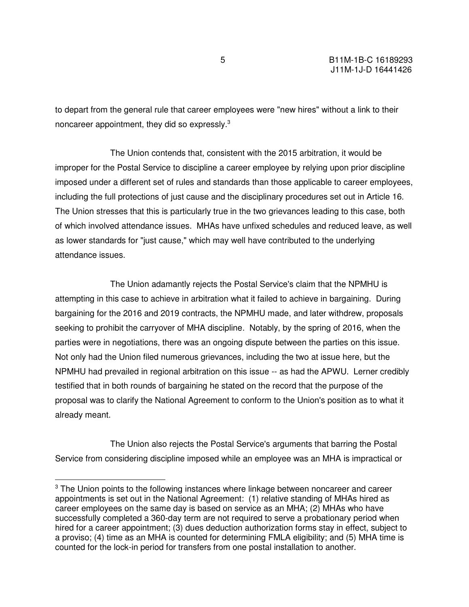to depart from the general rule that career employees were "new hires" without a link to their noncareer appointment, they did so expressly.<sup>3</sup>

 The Union contends that, consistent with the 2015 arbitration, it would be improper for the Postal Service to discipline a career employee by relying upon prior discipline imposed under a different set of rules and standards than those applicable to career employees, including the full protections of just cause and the disciplinary procedures set out in Article 16. The Union stresses that this is particularly true in the two grievances leading to this case, both of which involved attendance issues. MHAs have unfixed schedules and reduced leave, as well as lower standards for "just cause," which may well have contributed to the underlying attendance issues.

 The Union adamantly rejects the Postal Service's claim that the NPMHU is attempting in this case to achieve in arbitration what it failed to achieve in bargaining. During bargaining for the 2016 and 2019 contracts, the NPMHU made, and later withdrew, proposals seeking to prohibit the carryover of MHA discipline. Notably, by the spring of 2016, when the parties were in negotiations, there was an ongoing dispute between the parties on this issue. Not only had the Union filed numerous grievances, including the two at issue here, but the NPMHU had prevailed in regional arbitration on this issue -- as had the APWU. Lerner credibly testified that in both rounds of bargaining he stated on the record that the purpose of the proposal was to clarify the National Agreement to conform to the Union's position as to what it already meant.

 The Union also rejects the Postal Service's arguments that barring the Postal Service from considering discipline imposed while an employee was an MHA is impractical or

<sup>&</sup>lt;sup>3</sup> The Union points to the following instances where linkage between noncareer and career appointments is set out in the National Agreement: (1) relative standing of MHAs hired as career employees on the same day is based on service as an MHA; (2) MHAs who have successfully completed a 360-day term are not required to serve a probationary period when hired for a career appointment; (3) dues deduction authorization forms stay in effect, subject to a proviso; (4) time as an MHA is counted for determining FMLA eligibility; and (5) MHA time is counted for the lock-in period for transfers from one postal installation to another.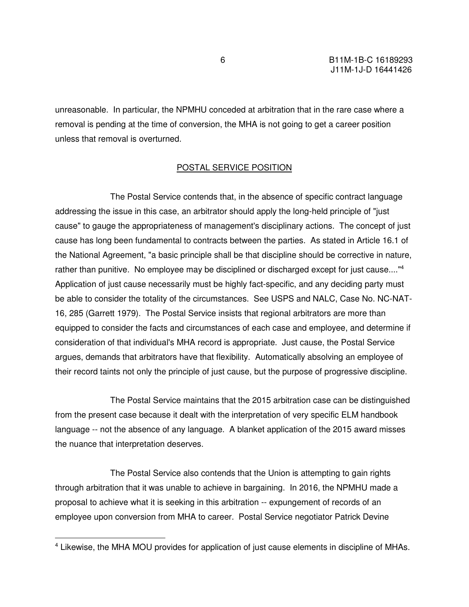unreasonable. In particular, the NPMHU conceded at arbitration that in the rare case where a removal is pending at the time of conversion, the MHA is not going to get a career position unless that removal is overturned.

### POSTAL SERVICE POSITION

 The Postal Service contends that, in the absence of specific contract language addressing the issue in this case, an arbitrator should apply the long-held principle of "just cause" to gauge the appropriateness of management's disciplinary actions. The concept of just cause has long been fundamental to contracts between the parties. As stated in Article 16.1 of the National Agreement, "a basic principle shall be that discipline should be corrective in nature, rather than punitive. No employee may be disciplined or discharged except for just cause...."<sup>4</sup> Application of just cause necessarily must be highly fact-specific, and any deciding party must be able to consider the totality of the circumstances. See USPS and NALC, Case No. NC-NAT-16, 285 (Garrett 1979). The Postal Service insists that regional arbitrators are more than equipped to consider the facts and circumstances of each case and employee, and determine if consideration of that individual's MHA record is appropriate. Just cause, the Postal Service argues, demands that arbitrators have that flexibility. Automatically absolving an employee of their record taints not only the principle of just cause, but the purpose of progressive discipline.

 The Postal Service maintains that the 2015 arbitration case can be distinguished from the present case because it dealt with the interpretation of very specific ELM handbook language -- not the absence of any language. A blanket application of the 2015 award misses the nuance that interpretation deserves.

 The Postal Service also contends that the Union is attempting to gain rights through arbitration that it was unable to achieve in bargaining. In 2016, the NPMHU made a proposal to achieve what it is seeking in this arbitration -- expungement of records of an employee upon conversion from MHA to career. Postal Service negotiator Patrick Devine

<sup>&</sup>lt;sup>4</sup> Likewise, the MHA MOU provides for application of just cause elements in discipline of MHAs.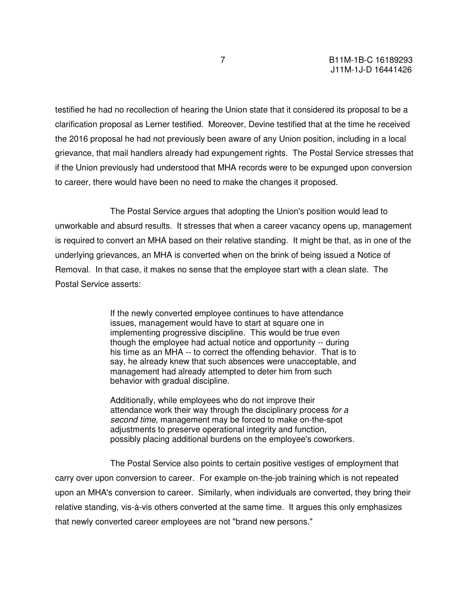testified he had no recollection of hearing the Union state that it considered its proposal to be a clarification proposal as Lerner testified. Moreover, Devine testified that at the time he received the 2016 proposal he had not previously been aware of any Union position, including in a local grievance, that mail handlers already had expungement rights. The Postal Service stresses that if the Union previously had understood that MHA records were to be expunged upon conversion to career, there would have been no need to make the changes it proposed.

 The Postal Service argues that adopting the Union's position would lead to unworkable and absurd results. It stresses that when a career vacancy opens up, management is required to convert an MHA based on their relative standing. It might be that, as in one of the underlying grievances, an MHA is converted when on the brink of being issued a Notice of Removal. In that case, it makes no sense that the employee start with a clean slate. The Postal Service asserts:

> If the newly converted employee continues to have attendance issues, management would have to start at square one in implementing progressive discipline. This would be true even though the employee had actual notice and opportunity -- during his time as an MHA -- to correct the offending behavior. That is to say, he already knew that such absences were unacceptable, and management had already attempted to deter him from such behavior with gradual discipline.

> Additionally, while employees who do not improve their attendance work their way through the disciplinary process for a second time, management may be forced to make on-the-spot adjustments to preserve operational integrity and function, possibly placing additional burdens on the employee's coworkers.

 The Postal Service also points to certain positive vestiges of employment that carry over upon conversion to career. For example on-the-job training which is not repeated upon an MHA's conversion to career. Similarly, when individuals are converted, they bring their relative standing, vis-à-vis others converted at the same time. It argues this only emphasizes that newly converted career employees are not "brand new persons."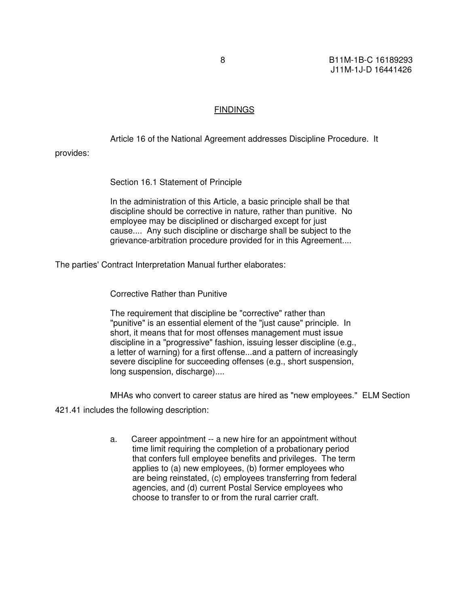### **FINDINGS**

Article 16 of the National Agreement addresses Discipline Procedure. It

provides:

Section 16.1 Statement of Principle

In the administration of this Article, a basic principle shall be that discipline should be corrective in nature, rather than punitive. No employee may be disciplined or discharged except for just cause.... Any such discipline or discharge shall be subject to the grievance-arbitration procedure provided for in this Agreement....

The parties' Contract Interpretation Manual further elaborates:

Corrective Rather than Punitive

The requirement that discipline be "corrective" rather than "punitive" is an essential element of the "just cause" principle. In short, it means that for most offenses management must issue discipline in a "progressive" fashion, issuing lesser discipline (e.g., a letter of warning) for a first offense...and a pattern of increasingly severe discipline for succeeding offenses (e.g., short suspension, long suspension, discharge)....

MHAs who convert to career status are hired as "new employees." ELM Section

421.41 includes the following description:

a. Career appointment -- a new hire for an appointment without time limit requiring the completion of a probationary period that confers full employee benefits and privileges. The term applies to (a) new employees, (b) former employees who are being reinstated, (c) employees transferring from federal agencies, and (d) current Postal Service employees who choose to transfer to or from the rural carrier craft.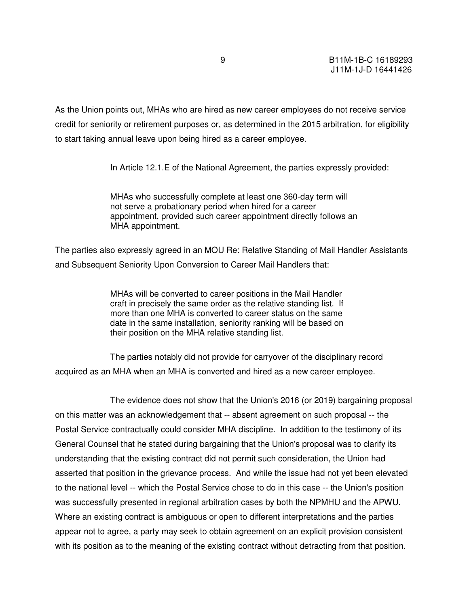As the Union points out, MHAs who are hired as new career employees do not receive service credit for seniority or retirement purposes or, as determined in the 2015 arbitration, for eligibility to start taking annual leave upon being hired as a career employee.

In Article 12.1.E of the National Agreement, the parties expressly provided:

MHAs who successfully complete at least one 360-day term will not serve a probationary period when hired for a career appointment, provided such career appointment directly follows an MHA appointment.

The parties also expressly agreed in an MOU Re: Relative Standing of Mail Handler Assistants and Subsequent Seniority Upon Conversion to Career Mail Handlers that:

> MHAs will be converted to career positions in the Mail Handler craft in precisely the same order as the relative standing list. If more than one MHA is converted to career status on the same date in the same installation, seniority ranking will be based on their position on the MHA relative standing list.

 The parties notably did not provide for carryover of the disciplinary record acquired as an MHA when an MHA is converted and hired as a new career employee.

 The evidence does not show that the Union's 2016 (or 2019) bargaining proposal on this matter was an acknowledgement that -- absent agreement on such proposal -- the Postal Service contractually could consider MHA discipline. In addition to the testimony of its General Counsel that he stated during bargaining that the Union's proposal was to clarify its understanding that the existing contract did not permit such consideration, the Union had asserted that position in the grievance process. And while the issue had not yet been elevated to the national level -- which the Postal Service chose to do in this case -- the Union's position was successfully presented in regional arbitration cases by both the NPMHU and the APWU. Where an existing contract is ambiguous or open to different interpretations and the parties appear not to agree, a party may seek to obtain agreement on an explicit provision consistent with its position as to the meaning of the existing contract without detracting from that position.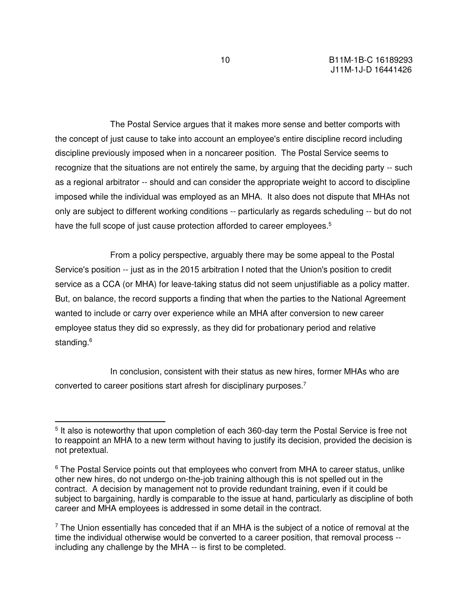The Postal Service argues that it makes more sense and better comports with the concept of just cause to take into account an employee's entire discipline record including discipline previously imposed when in a noncareer position. The Postal Service seems to recognize that the situations are not entirely the same, by arguing that the deciding party -- such as a regional arbitrator -- should and can consider the appropriate weight to accord to discipline imposed while the individual was employed as an MHA. It also does not dispute that MHAs not only are subject to different working conditions -- particularly as regards scheduling -- but do not have the full scope of just cause protection afforded to career employees.<sup>5</sup>

 From a policy perspective, arguably there may be some appeal to the Postal Service's position -- just as in the 2015 arbitration I noted that the Union's position to credit service as a CCA (or MHA) for leave-taking status did not seem unjustifiable as a policy matter. But, on balance, the record supports a finding that when the parties to the National Agreement wanted to include or carry over experience while an MHA after conversion to new career employee status they did so expressly, as they did for probationary period and relative standing.<sup>6</sup>

 In conclusion, consistent with their status as new hires, former MHAs who are converted to career positions start afresh for disciplinary purposes.<sup>7</sup>

<sup>&</sup>lt;sup>5</sup> It also is noteworthy that upon completion of each 360-day term the Postal Service is free not to reappoint an MHA to a new term without having to justify its decision, provided the decision is not pretextual.

<sup>&</sup>lt;sup>6</sup> The Postal Service points out that employees who convert from MHA to career status, unlike other new hires, do not undergo on-the-job training although this is not spelled out in the contract. A decision by management not to provide redundant training, even if it could be subject to bargaining, hardly is comparable to the issue at hand, particularly as discipline of both career and MHA employees is addressed in some detail in the contract.

 $7$  The Union essentially has conceded that if an MHA is the subject of a notice of removal at the time the individual otherwise would be converted to a career position, that removal process - including any challenge by the MHA -- is first to be completed.